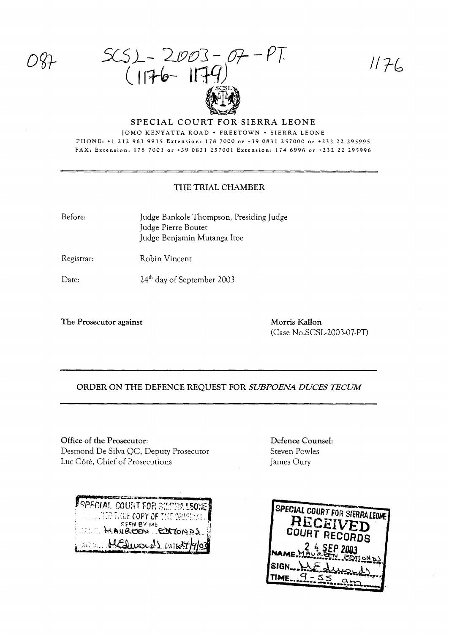$SCS_{L} - 2003 - 07 - PT$ <br>(1176-1179)

 $1176$ 

#### SPECIAL COURT FOR SIERRA LEONE JOMO KENYATTA ROAD . FREETOWN . SIERRA LEONE PHONE: +1 212 963 9915 Extension: 178 7000 or +39 0831 257000 or +232 22 295995 FAX: Extension: 178 7001 or +39 0831 257001 Extension: 174 6996 or +232 22 295996

### THE TRIAL CHAMBER

Before:

Judge Bankole Thompson, Presiding Judge Judge Pierre Boutet Judge Benjamin Mutanga Itoe

Registrar: Robin Vincent

Date: 24<sup>th</sup> day of September 2003

The Prosecutor against

Morris Kallon (Case No.SCSL-2003-07-PT)

## ORDER ON THE DEFENCE REQUEST FOR SUBPOENA DUCES TECUM

Office of the Prosecutor: Desmond De Silva QC, Deputy Prosecutor Luc Côté, Chief of Prosecutions

| parameter at the nature represents<br><b>Aspecial court for sierraleones</b> |  |
|------------------------------------------------------------------------------|--|
| <b>THE TRUE COPY OF THE ORIGINAL .</b>                                       |  |
| SEEN BY ME<br>LINE MAUREON EXTONDS.                                          |  |
| Belty MEQuands DATE 4/9/03                                                   |  |

Defence Counsel: Steven Powles James Oury

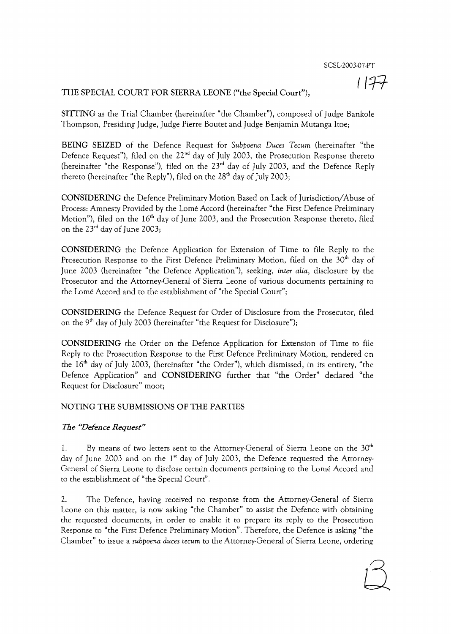# 1177

## THE SPECIAL COURT FOR SIERRA LEONE ("the Special Court"),

SITTING as the Trial Chamber (hereinafter "the Chamber"), composed of Judge Bankole Thompson, Presiding Judge, Judge Pierre Boutet and Judge Benjamin Mutanga Itoe;

BEING SEIZED of the Defence Request for *Subpoena Duces Tecum* (hereinafter "the Defence Request"), filed on the  $22<sup>nd</sup>$  day of July 2003, the Prosecution Response thereto (hereinafter "the Response"), filed on the 23<sup>rd</sup> day of July 2003, and the Defence Reply thereto (hereinafter "the Reply"), filed on the  $28<sup>th</sup>$  day of July 2003;

CONSIDERING the Defence Preliminary Motion Based on Lack of Jurisdiction/Abuse of Process: Amnesty Provided by the Lome Accord (hereinafter "the First Defence Preliminary Motion"), filed on the  $16<sup>th</sup>$  day of June 2003, and the Prosecution Response thereto, filed on the  $23<sup>rd</sup>$  day of June 2003;

CONSIDERING the Defence Application for Extension of Time to file Reply to the Prosecution Response to the First Defence Preliminary Motion, filed on the  $30<sup>th</sup>$  day of June 2003 (hereinafter "the Defence Application"), seeking, *inter alia,* disclosure by the Prosecutor and the Attorney-General of Sierra Leone of various documents pertaining to the Lome Accord and to the establishment of "the Special Court";

CONSIDERING the Defence Request for Order of Disclosure from the Prosecutor, filed on the 9<sup>th</sup> day of July 2003 (hereinafter "the Request for Disclosure");

CONSIDERING the Order on the Defence Application for Extension of Time to file Reply to the Prosecution Response to the First Defence Preliminary Motion, rendered on the  $16<sup>th</sup>$  day of July 2003, (hereinafter "the Order"), which dismissed, in its entirety, "the Defence Application" and CONSIDERING further that "the Order" declared "the Request for Disclosure" moot;

## NOTING THE SUBMISSIONS OF THE PARTIES

#### *The "Defence Request}}*

1. By means of two letters sent to the Attorney-General of Sierra Leone on the  $30<sup>th</sup>$ day of June 2003 and on the 1" day of July 2003, the Defence requested the Attorney-General of Sierra Leone to disclose certain documents pertaining to the Lome Accord and to the establishment of "the Special Court".

2. The Defence, having received no response from the Attorney-General of Sierra Leone on this matter, is now asking "the Chamber" to assist the Defence with obtaining the requested documents, in order to enable it to prepare its reply to the Prosecution Response to "the First Defence Preliminary Motion". Therefore, the Defence is asking "the Chamber" to issue a *subpoena duces tecum* to the Attorney-General of Sierra Leone, ordering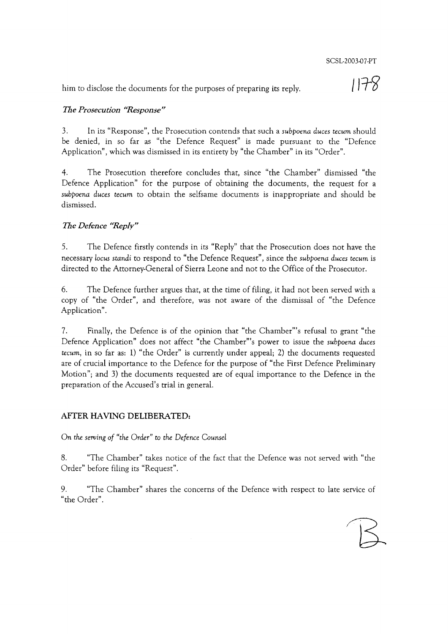him to disclose the documents for the purposes of preparing its reply.

1178

# *The Prosecution "Response"*

3. In its "Response", the Prosecution contends that such a *subpoena duces tecum* should be denied, in so far as "the Defence Request" is made pursuant to the "Defence Application", which was dismissed in its entirety by "the Chamber" in its "Order".

4. The Prosecution therefore concludes that, since "the Chamber" dismissed "the Defence Application" for the purpose of obtaining the documents, the request for a *subpoena duces tecum* to obtain the selfsame documents is inappropriate and should be dismissed.

# *The Defence "Reply"*

5. The Defence firstly contends in its "Reply" that the Prosecution does not have the necessary locus *standi* to respond to "the Defence Request", since the *subpoena duces tecum* is directed to the Attorney-General of Sierra Leone and not to the Office of the Prosecutor.

6. The Defence further argues that, at the time of filing, it had not been served with a copy of "the Order", and therefore, was not aware of the dismissal of "the Defence Application".

7. Finally, the Defence is of the opinion that "the Chamber"'s refusal to grant "the Defence Application" does not affect "the Chamber"'s power to issue the *subpoena duces tecum,* in so far as: 1) "the Order" is currently under appeal; 2) the documents requested are of crucial importance to the Defence for the purpose of "the First Defence Preliminary Motion"; and 3) the documents requested are of equal importance to the Defence in the preparation of the Accused's trial in general.

# AFTER HAVING DELIBERATED:

On *the serving of "the Order"* to *the Defence Counsel*

8. "The Chamber" takes notice of the fact that the Defence was not served with "the Order" before filing its "Request".

9. "The Chamber" shares the concerns of the Defence with respect to late service of "the Order".